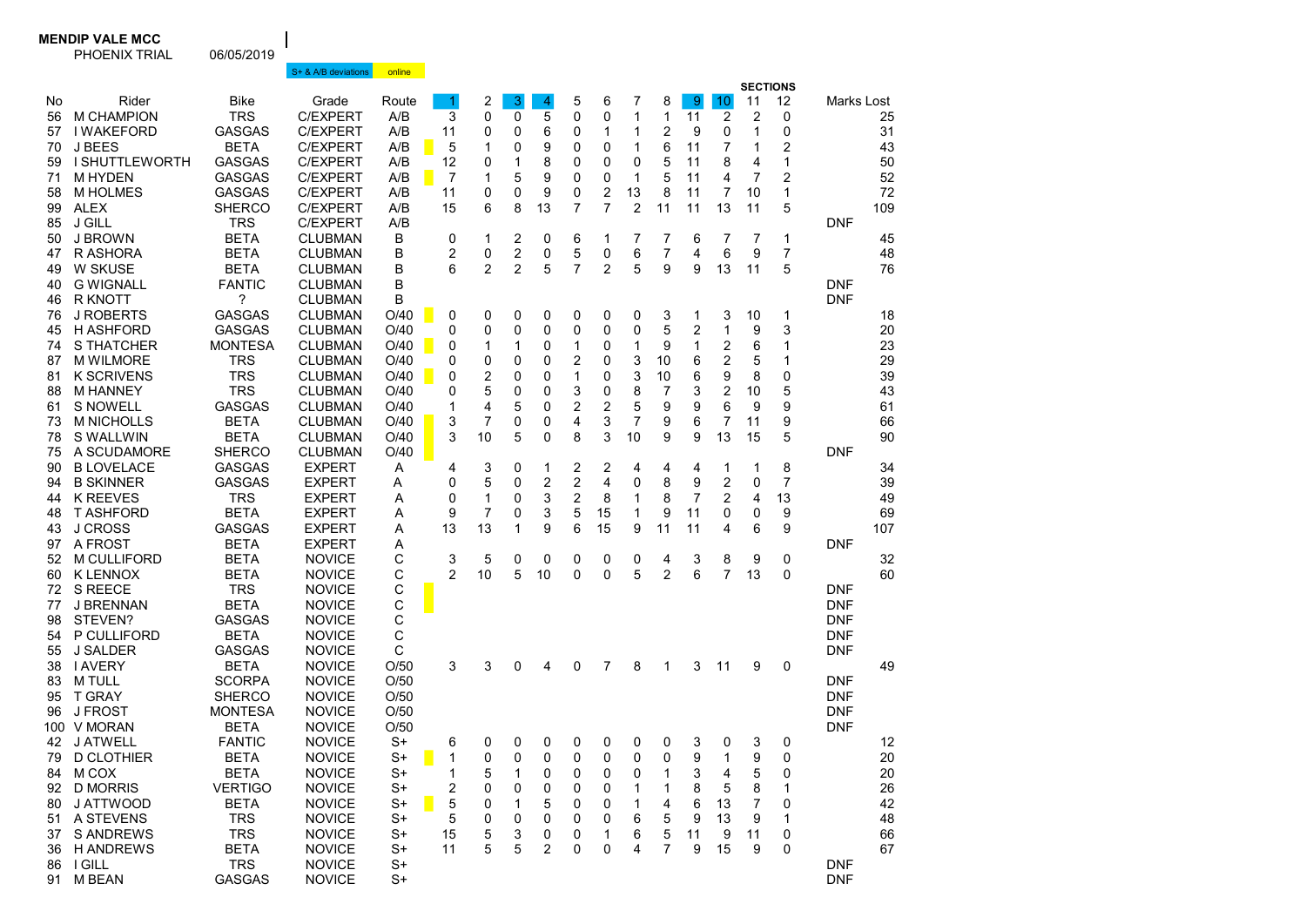## MENDIP VALE MCC

PHOENIX TRIAL 06/05/2019

|                |                                                 |                                            | S+ & A/B deviations                  | online              |                |                |             |                |             |             |             |                |                        |                |                                 |                |                          |          |
|----------------|-------------------------------------------------|--------------------------------------------|--------------------------------------|---------------------|----------------|----------------|-------------|----------------|-------------|-------------|-------------|----------------|------------------------|----------------|---------------------------------|----------------|--------------------------|----------|
| No<br>56<br>57 | Rider<br><b>M CHAMPION</b><br><b>I WAKEFORD</b> | <b>Bike</b><br><b>TRS</b><br><b>GASGAS</b> | Grade<br><b>C/EXPERT</b><br>C/EXPERT | Route<br>A/B<br>A/B | 1<br>3<br>11   | 2<br>0<br>0    | 3<br>0<br>0 | 4<br>5<br>6    | 5<br>0<br>0 | 6<br>0<br>1 | 7<br>1<br>1 | 8<br>1<br>2    | $9^{\circ}$<br>11<br>9 | 10<br>2<br>0   | <b>SECTIONS</b><br>11<br>2<br>1 | 12<br>0<br>0   | Marks Lost               | 25<br>31 |
| 70             | J BEES                                          | <b>BETA</b>                                | <b>C/EXPERT</b>                      | A/B                 | 5              | 1              | 0           | 9              | 0           | 0           | 1           | 6              | 11                     | $\overline{7}$ | 1                               | 2              |                          | 43       |
| 59             | <b>I SHUTTLEWORTH</b>                           | <b>GASGAS</b>                              | C/EXPERT                             | A/B                 | 12             | 0              | 1           | 8              | 0           | 0           | 0           | 5              | 11                     | 8              | 4                               | 1              |                          | 50       |
| 71             | M HYDEN                                         | <b>GASGAS</b>                              | <b>C/EXPERT</b>                      | A/B                 | 7              | 1              | 5           | 9              | 0           | 0           | 1           | 5              | 11                     | 4              | $\overline{7}$                  | $\overline{2}$ |                          | 52       |
| 58             | <b>M HOLMES</b>                                 | <b>GASGAS</b>                              | <b>C/EXPERT</b>                      | A/B                 | 11             | 0              | 0           | 9              | 0           | 2           | 13          | 8              | 11                     | 7              | 10                              | $\mathbf{1}$   |                          | 72       |
| 99             | <b>ALEX</b>                                     | <b>SHERCO</b>                              | <b>C/EXPERT</b>                      | A/B                 | 15             | 6              | 8           | 13             | 7           | 7           | 2           | 11             | 11                     | 13             | 11                              | 5              |                          | 109      |
| 85             | <b>J GILL</b>                                   | <b>TRS</b>                                 | <b>C/EXPERT</b>                      | A/B                 |                |                |             |                |             |             |             |                |                        |                |                                 |                | DNF                      |          |
| 50             | J BROWN                                         | <b>BETA</b>                                | <b>CLUBMAN</b>                       | В                   | 0              | 1              | 2           | 0              | 6           | 1           | 7           | 7              | 6                      | 7              | 7                               | 1              |                          | 45       |
| 47             | R ASHORA                                        | <b>BETA</b>                                | <b>CLUBMAN</b>                       | в                   | 2              | 0              | 2           | 0              | 5           | 0           | 6           | 7              | 4                      | 6              | 9                               | $\overline{7}$ |                          | 48       |
| 49             | <b>W SKUSE</b>                                  | <b>BETA</b>                                | <b>CLUBMAN</b>                       | В                   | 6              | $\overline{2}$ | 2           | 5              | 7           | 2           | 5           | 9              | 9                      | 13             | 11                              | 5              |                          | 76       |
| 40             | <b>G WIGNALL</b>                                | <b>FANTIC</b>                              | <b>CLUBMAN</b>                       | В                   |                |                |             |                |             |             |             |                |                        |                |                                 |                | DNF                      |          |
| 46             | R KNOTT                                         | ?                                          | <b>CLUBMAN</b>                       | В                   |                |                |             |                |             |             |             |                |                        |                |                                 |                | <b>DNF</b>               |          |
| 76             | J ROBERTS                                       | <b>GASGAS</b>                              | <b>CLUBMAN</b>                       | O/40                | 0              | 0              | 0           | 0              | 0           | 0           | 0           | 3              | 1                      | 3              | 10                              | 1              |                          | 18       |
| 45<br>74       | H ASHFORD<br>S THATCHER                         | <b>GASGAS</b><br><b>MONTESA</b>            | <b>CLUBMAN</b><br><b>CLUBMAN</b>     | O/40<br>O/40        | 0              | 0              | 0           | 0              | 0           | 0           | 0<br>1      | 5<br>9         | 2<br>1                 | 1              | 9<br>6                          | 3              |                          | 20       |
| 87             | <b>M WILMORE</b>                                | <b>TRS</b>                                 | <b>CLUBMAN</b>                       | O/40                | 0<br>0         | 1<br>0         | 1<br>0      | 0<br>0         | 1<br>2      | 0<br>0      | 3           | 10             | 6                      | 2<br>2         | 5                               | 1<br>1         |                          | 23<br>29 |
| 81             | <b>K SCRIVENS</b>                               | <b>TRS</b>                                 | <b>CLUBMAN</b>                       | O/40                | 0              | 2              | 0           | 0              | 1           | 0           | 3           | 10             | 6                      | 9              | 8                               | 0              |                          | 39       |
| 88             | <b>M HANNEY</b>                                 | <b>TRS</b>                                 | <b>CLUBMAN</b>                       | O/40                | 0              | 5              | 0           | 0              | 3           | 0           | 8           | 7              | 3                      | $\overline{2}$ | 10                              | 5              |                          | 43       |
| 61             | <b>S NOWELL</b>                                 | <b>GASGAS</b>                              | <b>CLUBMAN</b>                       | O/40                | 1              | 4              | 5           | 0              | 2           | 2           | 5           | 9              | 9                      | 6              | 9                               | 9              |                          | 61       |
| 73             | <b>M NICHOLLS</b>                               | <b>BETA</b>                                | <b>CLUBMAN</b>                       | O/40                | 3              | $\overline{7}$ | 0           | 0              | 4           | 3           | 7           | 9              | 6                      | $\overline{7}$ | 11                              | 9              |                          | 66       |
| 78             | S WALLWIN                                       | <b>BETA</b>                                | <b>CLUBMAN</b>                       | O/40                | 3              | 10             | 5           | 0              | 8           | 3           | 10          | 9              | 9                      | 13             | 15                              | 5              |                          | 90       |
| 75             | A SCUDAMORE                                     | <b>SHERCO</b>                              | <b>CLUBMAN</b>                       | O/40                |                |                |             |                |             |             |             |                |                        |                |                                 |                | DNF                      |          |
| 90             | <b>B LOVELACE</b>                               | <b>GASGAS</b>                              | <b>EXPERT</b>                        | Α                   | 4              | 3              | 0           | 1              | 2           | 2           | 4           | 4              | 4                      | 1              | 1                               | 8              |                          | 34       |
| 94             | <b>B SKINNER</b>                                | <b>GASGAS</b>                              | <b>EXPERT</b>                        | Α                   | 0              | 5              | 0           | 2              | 2           | 4           | 0           | 8              | 9                      | $\overline{2}$ | 0                               | 7              |                          | 39       |
| 44             | K REEVES                                        | <b>TRS</b>                                 | <b>EXPERT</b>                        | Α                   | 0              | 1              | 0           | 3              | 2           | 8           | 1           | 8              | 7                      | $\overline{2}$ | 4                               | 13             |                          | 49       |
| 48             | <b>T ASHFORD</b>                                | <b>BETA</b>                                | <b>EXPERT</b>                        | Α                   | 9              | 7              | 0           | 3              | 5           | 15          | 1           | 9              | 11                     | 0              | 0                               | 9              |                          | 69       |
| 43             | J CROSS                                         | <b>GASGAS</b>                              | <b>EXPERT</b>                        | Α                   | 13             | 13             | 1           | 9              | 6           | 15          | 9           | 11             | 11                     | 4              | 6                               | 9              |                          | 107      |
| 97             | A FROST                                         | <b>BETA</b>                                | <b>EXPERT</b>                        | Α                   |                |                |             |                |             |             |             |                |                        |                |                                 |                | <b>DNF</b>               |          |
| 52             | <b>M CULLIFORD</b>                              | <b>BETA</b>                                | <b>NOVICE</b>                        | С                   | 3              | 5              | 0           | 0              | 0           | 0           | 0           | 4              | 3                      | 8              | 9                               | 0              |                          | 32       |
| 60             | <b>K LENNOX</b>                                 | <b>BETA</b>                                | <b>NOVICE</b>                        | С                   | $\overline{2}$ | 10             | 5           | 10             | 0           | 0           | 5           | $\overline{2}$ | 6                      | 7              | 13                              | $\mathbf{0}$   |                          | 60       |
| 72             | S REECE                                         | <b>TRS</b>                                 | <b>NOVICE</b>                        | С                   |                |                |             |                |             |             |             |                |                        |                |                                 |                | <b>DNF</b>               |          |
| 77             | J BRENNAN                                       | <b>BETA</b>                                | <b>NOVICE</b>                        | C                   |                |                |             |                |             |             |             |                |                        |                |                                 |                | <b>DNF</b>               |          |
| 98             | STEVEN?                                         | <b>GASGAS</b>                              | <b>NOVICE</b>                        | С                   |                |                |             |                |             |             |             |                |                        |                |                                 |                | <b>DNF</b>               |          |
| 54             | P CULLIFORD<br>J SALDER                         | <b>BETA</b><br><b>GASGAS</b>               | <b>NOVICE</b><br><b>NOVICE</b>       | С<br>C              |                |                |             |                |             |             |             |                |                        |                |                                 |                | <b>DNF</b><br><b>DNF</b> |          |
| 55<br>38       | <b>I AVERY</b>                                  | <b>BETA</b>                                | <b>NOVICE</b>                        | O/50                | 3              | 3              | 0           | 4              | 0           | 7           | 8           | 1              | 3                      | 11             | 9                               | 0              |                          | 49       |
| 83             | <b>M TULL</b>                                   | <b>SCORPA</b>                              | <b>NOVICE</b>                        | O/50                |                |                |             |                |             |             |             |                |                        |                |                                 |                | DNF                      |          |
| 95             | <b>T GRAY</b>                                   | <b>SHERCO</b>                              | <b>NOVICE</b>                        | O/50                |                |                |             |                |             |             |             |                |                        |                |                                 |                | <b>DNF</b>               |          |
| 96             | <b>J FROST</b>                                  | <b>MONTESA</b>                             | <b>NOVICE</b>                        | O/50                |                |                |             |                |             |             |             |                |                        |                |                                 |                | <b>DNF</b>               |          |
|                | 100 V MORAN                                     | <b>BETA</b>                                | <b>NOVICE</b>                        | O/50                |                |                |             |                |             |             |             |                |                        |                |                                 |                | <b>DNF</b>               |          |
| 42             | J ATWELL                                        | <b>FANTIC</b>                              | <b>NOVICE</b>                        | S+                  | 6              | 0              | 0           | 0              | 0           | 0           | 0           | 0              | 3                      | 0              | 3                               | 0              |                          | 12       |
| 79             | D CLOTHIER                                      | BETA                                       | <b>NOVICE</b>                        | S+                  | 1              | 0              | 0           | 0              | 0           | $\Omega$    | 0           | $\Omega$       | 9                      | 1              | 9                               | $\mathbf{0}$   |                          | 20       |
| 84             | M COX                                           | <b>BETA</b>                                | <b>NOVICE</b>                        | $S+$                | 1              | 5              | 1           | 0              | 0           | 0           | 0           | 1              | 3                      | 4              | 5                               | 0              |                          | 20       |
| 92             | <b>D MORRIS</b>                                 | <b>VERTIGO</b>                             | <b>NOVICE</b>                        | $S+$                | 2              | 0              | 0           | 0              | 0           | 0           | 1           | 1              | 8                      | 5              | 8                               | 1              |                          | 26       |
| 80             | J ATTWOOD                                       | <b>BETA</b>                                | <b>NOVICE</b>                        | $S+$                | 5              | 0              | 1           | 5              | 0           | 0           | 1           | 4              | 6                      | 13             | 7                               | 0              |                          | 42       |
|                | 51 A STEVENS                                    | <b>TRS</b>                                 | <b>NOVICE</b>                        | $S+$                | 5              | 0              | 0           | 0              | 0           | 0           | 6           | 5              | 9                      | 13             | 9                               | 1              |                          | 48       |
| 37             | <b>S ANDREWS</b>                                | <b>TRS</b>                                 | <b>NOVICE</b>                        | S+                  | 15             | 5              | 3           | 0              | 0           |             | 6           | 5              | 11                     | 9              | 11                              | 0              |                          | 66       |
|                | 36 H ANDREWS                                    | <b>BETA</b>                                | <b>NOVICE</b>                        | $S+$                | 11             | 5              | 5           | $\overline{2}$ | 0           | 0           | 4           | $\overline{7}$ | 9                      | 15             | 9                               | 0              |                          | 67       |
| 86             | <b>I GILL</b>                                   | <b>TRS</b>                                 | <b>NOVICE</b>                        | $S+$                |                |                |             |                |             |             |             |                |                        |                |                                 |                | <b>DNF</b>               |          |
|                | 91 M BEAN                                       | GASGAS                                     | <b>NOVICE</b>                        | $S+$                |                |                |             |                |             |             |             |                |                        |                |                                 |                | <b>DNF</b>               |          |